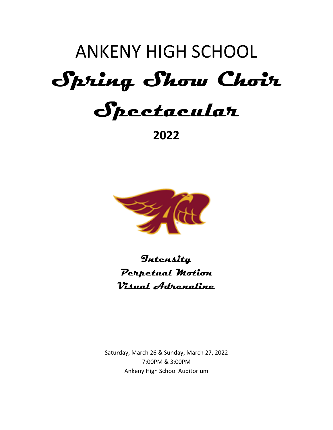# ANKENY HIGH SCHOOL **Spring Show Choir Spectacular**

**2022**



**Intensity Perpetual Motion Visual Adrenaline**

Saturday, March 26 & Sunday, March 27, 2022 7:00PM & 3:00PM Ankeny High School Auditorium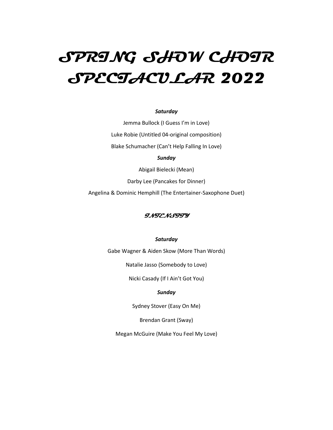# **SPRING SHOW CHOIR SPECTACULAR 2022**

#### *Saturday*

Jemma Bullock (I Guess I'm in Love) Luke Robie (Untitled 04-original composition) Blake Schumacher (Can't Help Falling In Love)

#### *Sunday*

Abigail Bielecki (Mean)

Darby Lee (Pancakes for Dinner)

Angelina & Dominic Hemphill (The Entertainer-Saxophone Duet)

#### **INTENSITY**

#### *Saturday*

Gabe Wagner & Aiden Skow (More Than Words)

Natalie Jasso (Somebody to Love)

Nicki Casady (If I Ain't Got You)

#### *Sunday*

Sydney Stover (Easy On Me)

Brendan Grant (Sway)

Megan McGuire (Make You Feel My Love)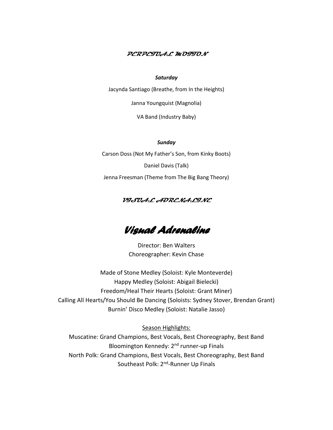#### **PERPETUAL MOTION**

#### *Saturday*

Jacynda Santiago (Breathe, from In the Heights)

Janna Youngquist (Magnolia)

VA Band (Industry Baby)

#### *Sunday*

Carson Doss (Not My Father's Son, from Kinky Boots) Daniel Davis (Talk) Jenna Freesman (Theme from The Big Bang Theory)

#### **VISUAL ADRENALINE**

# *Visual Adrenaline*

Director: Ben Walters Choreographer: Kevin Chase

Made of Stone Medley (Soloist: Kyle Monteverde) Happy Medley (Soloist: Abigail Bielecki) Freedom/Heal Their Hearts (Soloist: Grant Miner) Calling All Hearts/You Should Be Dancing (Soloists: Sydney Stover, Brendan Grant) Burnin' Disco Medley (Soloist: Natalie Jasso)

Season Highlights:

Muscatine: Grand Champions, Best Vocals, Best Choreography, Best Band Bloomington Kennedy: 2<sup>nd</sup> runner-up Finals North Polk: Grand Champions, Best Vocals, Best Choreography, Best Band Southeast Polk: 2<sup>nd</sup>-Runner Up Finals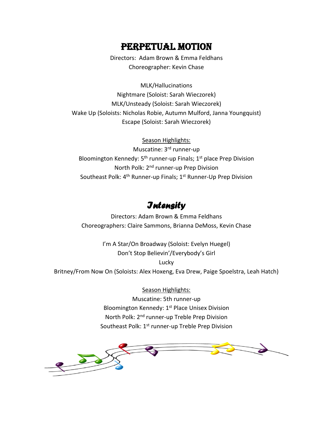# PERPETUAL MOTION

Directors: Adam Brown & Emma Feldhans Choreographer: Kevin Chase

MLK/Hallucinations Nightmare (Soloist: Sarah Wieczorek) MLK/Unsteady (Soloist: Sarah Wieczorek) Wake Up (Soloists: Nicholas Robie, Autumn Mulford, Janna Youngquist) Escape (Soloist: Sarah Wieczorek)

Season Highlights:

Muscatine: 3<sup>rd</sup> runner-up Bloomington Kennedy: 5<sup>th</sup> runner-up Finals; 1<sup>st</sup> place Prep Division North Polk: 2nd runner-up Prep Division Southeast Polk: 4<sup>th</sup> Runner-up Finals; 1<sup>st</sup> Runner-Up Prep Division

## *Intensity*

Directors: Adam Brown & Emma Feldhans Choreographers: Claire Sammons, Brianna DeMoss, Kevin Chase

I'm A Star/On Broadway (Soloist: Evelyn Huegel) Don't Stop Believin'/Everybody's Girl Lucky Britney/From Now On (Soloists: Alex Hoxeng, Eva Drew, Paige Spoelstra, Leah Hatch)

> Season Highlights: Muscatine: 5th runner-up Bloomington Kennedy: 1<sup>st</sup> Place Unisex Division North Polk: 2<sup>nd</sup> runner-up Treble Prep Division Southeast Polk: 1<sup>st</sup> runner-up Treble Prep Division